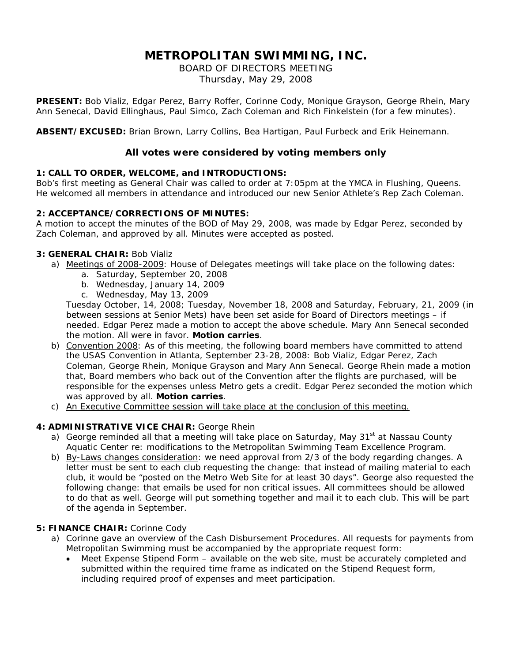# **METROPOLITAN SWIMMING, INC.**

BOARD OF DIRECTORS MEETING Thursday, May 29, 2008

**PRESENT:** Bob Vializ, Edgar Perez, Barry Roffer, Corinne Cody, Monique Grayson, George Rhein, Mary Ann Senecal, David Ellinghaus, Paul Simco, Zach Coleman and Rich Finkelstein (for a few minutes).

**ABSENT/EXCUSED:** Brian Brown, Larry Collins, Bea Hartigan, Paul Furbeck and Erik Heinemann.

## **All votes were considered by voting members only**

### **1: CALL TO ORDER, WELCOME, and INTRODUCTIONS:**

Bob's first meeting as General Chair was called to order at 7:05pm at the YMCA in Flushing, Queens. He welcomed all members in attendance and introduced our new Senior Athlete's Rep Zach Coleman.

### **2: ACCEPTANCE/CORRECTIONS OF MINUTES:**

A motion to accept the minutes of the BOD of May 29, 2008, was made by Edgar Perez, seconded by Zach Coleman, and approved by all. Minutes were accepted as posted.

### **3: GENERAL CHAIR:** Bob Vializ

- a) Meetings of 2008-2009: House of Delegates meetings will take place on the following dates:
	- a. Saturday, September 20, 2008
	- b. Wednesday, January 14, 2009
	- c. Wednesday, May 13, 2009

Tuesday October, 14, 2008; Tuesday, November 18, 2008 and Saturday, February, 21, 2009 (in between sessions at Senior Mets) have been set aside for Board of Directors meetings – if needed. Edgar Perez made a motion to accept the above schedule. Mary Ann Senecal seconded the motion. All were in favor. **Motion carries**.

- b) Convention 2008: As of this meeting, the following board members have committed to attend the USAS Convention in Atlanta, September 23-28, 2008: Bob Vializ, Edgar Perez, Zach Coleman, George Rhein, Monique Grayson and Mary Ann Senecal. George Rhein made a motion that, Board members who back out of the Convention after the flights are purchased, will be responsible for the expenses unless Metro gets a credit. Edgar Perez seconded the motion which was approved by all. **Motion carries**.
- c) An Executive Committee session will take place at the conclusion of this meeting.

#### **4: ADMINISTRATIVE VICE CHAIR:** George Rhein

- a) George reminded all that a meeting will take place on Saturday, May 31<sup>st</sup> at Nassau County Aquatic Center re: modifications to the Metropolitan Swimming Team Excellence Program.
- b) By-Laws changes consideration: we need approval from 2/3 of the body regarding changes. A letter must be sent to each club requesting the change: that instead of mailing material to each club, it would be "posted on the Metro Web Site for at least 30 days". George also requested the following change: that emails be used for non critical issues. All committees should be allowed to do that as well. George will put something together and mail it to each club. This will be part of the agenda in September.

#### **5: FINANCE CHAIR:** Corinne Cody

- a) Corinne gave an overview of the Cash Disbursement Procedures. All requests for payments from Metropolitan Swimming must be accompanied by the appropriate request form:
	- Meet Expense Stipend Form available on the web site, must be accurately completed and submitted within the required time frame as indicated on the Stipend Request form, including required proof of expenses and meet participation.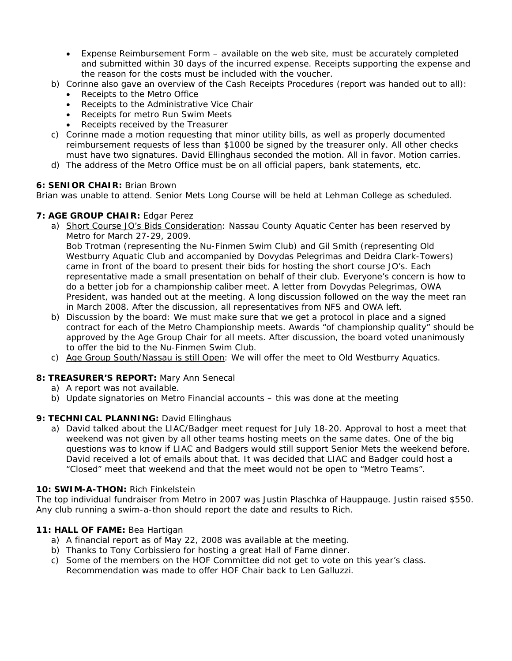- Expense Reimbursement Form available on the web site, must be accurately completed and submitted within 30 days of the incurred expense. Receipts supporting the expense and the reason for the costs must be included with the voucher.
- b) Corinne also gave an overview of the Cash Receipts Procedures (report was handed out to all):
	- Receipts to the Metro Office
	- Receipts to the Administrative Vice Chair
	- Receipts for metro Run Swim Meets
	- Receipts received by the Treasurer
- c) Corinne made a motion requesting that minor utility bills, as well as properly documented reimbursement requests of less than \$1000 be signed by the treasurer only. All other checks must have two signatures. David Ellinghaus seconded the motion. All in favor. Motion carries.
- d) The address of the Metro Office must be on all official papers, bank statements, etc.

# **6: SENIOR CHAIR:** Brian Brown

Brian was unable to attend. Senior Mets Long Course will be held at Lehman College as scheduled.

### **7: AGE GROUP CHAIR:** Edgar Perez

a) Short Course JO's Bids Consideration: Nassau County Aquatic Center has been reserved by Metro for March 27-29, 2009.

Bob Trotman (representing the Nu-Finmen Swim Club) and Gil Smith (representing Old Westburry Aquatic Club and accompanied by Dovydas Pelegrimas and Deidra Clark-Towers) came in front of the board to present their bids for hosting the short course JO's. Each representative made a small presentation on behalf of their club. Everyone's concern is how to do a better job for a championship caliber meet. A letter from Dovydas Pelegrimas, OWA President, was handed out at the meeting. A long discussion followed on the way the meet ran in March 2008. After the discussion, all representatives from NFS and OWA left.

- b) Discussion by the board: We must make sure that we get a protocol in place and a signed contract for each of the Metro Championship meets. Awards "of championship quality" should be approved by the Age Group Chair for all meets. After discussion, the board voted unanimously to offer the bid to the Nu-Finmen Swim Club.
- c) Age Group South/Nassau is still Open: We will offer the meet to Old Westburry Aquatics.

# **8: TREASURER'S REPORT:** Mary Ann Senecal

- a) A report was not available.
- b) Update signatories on Metro Financial accounts this was done at the meeting

# 9: TECHNICAL PLANNING: David Ellinghaus

a) David talked about the LIAC/Badger meet request for July 18-20. Approval to host a meet that weekend was not given by all other teams hosting meets on the same dates. One of the big questions was to know if LIAC and Badgers would still support Senior Mets the weekend before. David received a lot of emails about that. It was decided that LIAC and Badger could host a "Closed" meet that weekend and that the meet would not be open to "Metro Teams".

#### **10: SWIM-A-THON:** Rich Finkelstein

The top individual fundraiser from Metro in 2007 was Justin Plaschka of Hauppauge. Justin raised \$550. Any club running a swim-a-thon should report the date and results to Rich.

# **11: HALL OF FAME:** Bea Hartigan

- a) A financial report as of May 22, 2008 was available at the meeting.
- b) Thanks to Tony Corbissiero for hosting a great Hall of Fame dinner.
- c) Some of the members on the HOF Committee did not get to vote on this year's class. Recommendation was made to offer HOF Chair back to Len Galluzzi.